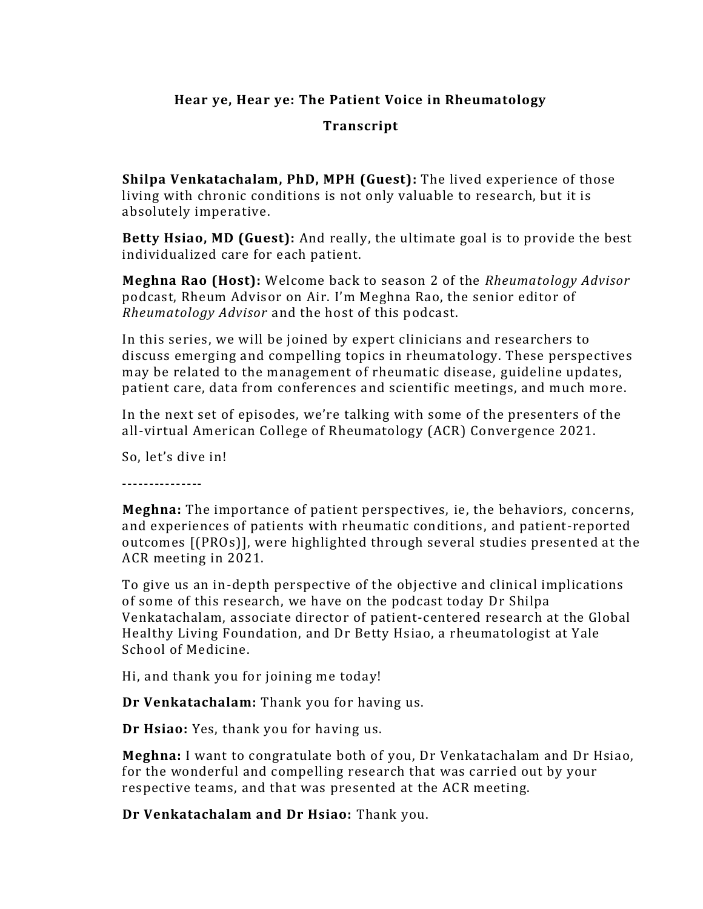## **Hear ye, Hear ye: The Patient Voice in Rheumatology**

## **Transcript**

**Shilpa Venkatachalam, PhD, MPH (Guest):** The lived experience of those living with chronic conditions is not only valuable to research, but it is absolutely imperative.

**Betty Hsiao, MD (Guest):** And really, the ultimate goal is to provide the best individualized care for each patient.

**Meghna Rao (Host):** Welcome back to season 2 of the *Rheumatology Advisor* podcast, Rheum Advisor on Air. I'm Meghna Rao, the senior editor of *Rheumatology Advisor* and the host of this podcast.

In this series, we will be joined by expert clinicians and researchers to discuss emerging and compelling topics in rheumatology. These perspectives may be related to the management of rheumatic disease, guideline updates, patient care, data from conferences and scientific meetings, and much more.

In the next set of episodes, we're talking with some of the presenters of the all-virtual American College of Rheumatology (ACR) Convergence 2021.

So, let's dive in!

---------------

**Meghna:** The importance of patient perspectives, ie, the behaviors, concerns, and experiences of patients with rheumatic conditions , and patient-reported outcomes [(PROs)], were highlighted through several studies presented at the ACR meeting in 2021.

To give us an in-depth perspective of the objective and clinical implications of some of this research, we have on the podcast today Dr Shilpa Venkatachalam, associate director of patient-centered research at the Global Healthy Living Foundation, and Dr Betty Hsiao, a rheumatologist at Yale School of Medicine.

Hi, and thank you for joining me today!

**Dr Venkatachalam:** Thank you for having us.

**Dr Hsiao:** Yes, thank you for having us.

**Meghna:** I want to congratulate both of you, Dr Venkatachalam and Dr Hsiao, for the wonderful and compelling research that was carried out by your respective teams, and that was presented at the ACR meeting.

**Dr Venkatachalam and Dr Hsiao:** Thank you.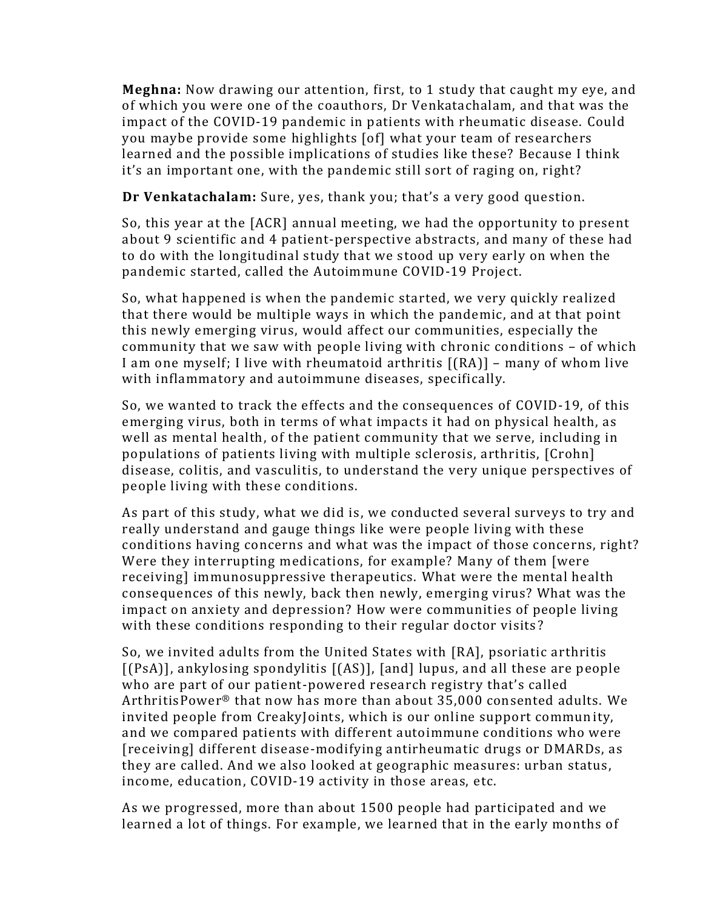**Meghna:** Now drawing our attention, first, to 1 study that caught my eye, and of which you were one of the coauthors, Dr Venkatachalam, and that was the impact of the COVID-19 pandemic in patients with rheumatic disease. Could you maybe provide some highlights [of] what your team of researchers learned and the possible implications of studies like these? Because I think it's an important one, with the pandemic still sort of raging on, right?

**Dr Venkatachalam:** Sure, yes, thank you; that's a very good question.

So, this year at the [ACR] annual meeting, we had the opportunity to present about 9 scientific and 4 patient-perspective abstracts, and many of these had to do with the longitudinal study that we stood up very early on when the pandemic started, called the Autoimmune COVID-19 Project.

So, what happened is when the pandemic started, we very quickly realized that there would be multiple ways in which the pandemic, and at that point this newly emerging virus, would affect our communities, especially the community that we saw with people living with chronic conditions – of which I am one myself; I live with rheumatoid arthritis [(RA)] – many of whom live with inflammatory and autoimmune diseases, specifically.

So, we wanted to track the effects and the consequences of COVID-19, of this emerging virus, both in terms of what impacts it had on physical health, as well as mental health, of the patient community that we serve, including in populations of patients living with multiple sclerosis, arthritis, [Crohn] disease, colitis, and vasculitis, to understand the very unique perspectives of people living with these conditions.

As part of this study, what we did is, we conducted several surveys to try and really understand and gauge things like were people living with these conditions having concerns and what was the impact of those concerns, right? Were they interrupting medications, for example? Many of them [were receiving] immunosuppressive therapeutics. What were the mental health consequences of this newly, back then newly, emerging virus? What was the impact on anxiety and depression? How were communities of people living with these conditions responding to their regular doctor visits?

So, we invited adults from the United States with [RA], psoriatic arthritis [(PsA)], ankylosing spondylitis [(AS)], [and] lupus, and all these are people who are part of our patient-powered research registry that's called ArthritisPower® that now has more than about 35,000 consented adults. We invited people from CreakyJoints, which is our online support community, and we compared patients with different autoimmune conditions who were [receiving] different disease-modifying antirheumatic drugs or DMARDs, as they are called. And we also looked at geographic measures: urban status , income, education, COVID-19 activity in those areas, etc.

As we progressed, more than about 1500 people had participated and we learned a lot of things. For example, we learned that in the early months of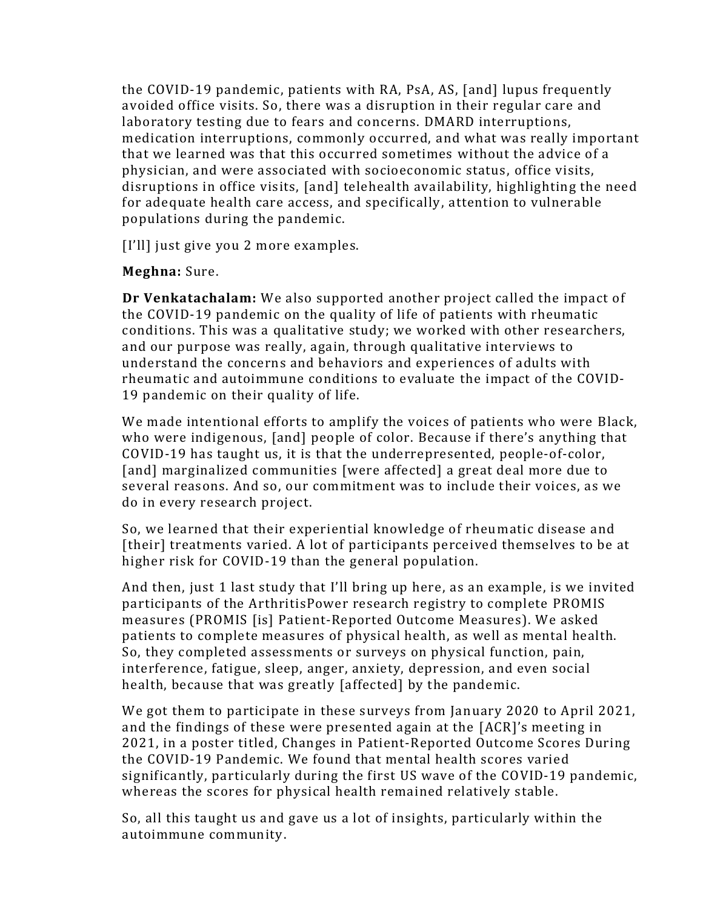the COVID-19 pandemic, patients with RA, PsA, AS, [and] lupus frequently avoided office visits. So, there was a disruption in their regular care and laboratory testing due to fears and concerns. DMARD interruptions, medication interruptions, commonly occurred, and what was really important that we learned was that this occurred sometimes without the advice of a physician, and were associated with socioeconomic status, office visits, disruptions in office visits, [and] telehealth availability, highlighting the need for adequate health care access, and specifically, attention to vulnerable populations during the pandemic.

[I'll] just give you 2 more examples.

## **Meghna:** Sure.

**Dr Venkatachalam:** We also supported another project called the impact of the COVID-19 pandemic on the quality of life of patients with rheumatic conditions. This was a qualitative study; we worked with other researchers, and our purpose was really, again, through qualitative interviews to understand the concerns and behaviors and experiences of adults with rheumatic and autoimmune conditions to evaluate the impact of the COVID-19 pandemic on their quality of life.

We made intentional efforts to amplify the voices of patients who were Black, who were indigenous, [and] people of color. Because if there's anything that COVID-19 has taught us, it is that the underrepresented, people-of-color, [and] marginalized communities [were affected] a great deal more due to several reasons. And so, our commitment was to include their voices, as we do in every research project.

So, we learned that their experiential knowledge of rheumatic disease and [their] treatments varied. A lot of participants perceived themselves to be at higher risk for COVID-19 than the general population.

And then, just 1 last study that I'll bring up here, as an example, is we invited participants of the ArthritisPower research registry to complete PROMIS measures (PROMIS [is] Patient-Reported Outcome Measures). We asked patients to complete measures of physical health, as well as mental health. So, they completed assessments or surveys on physical function, pain, interference, fatigue, sleep, anger, anxiety, depression, and even social health, because that was greatly [affected] by the pandemic.

We got them to participate in these surveys from January 2020 to April 2021, and the findings of these were presented again at the [ACR]'s meeting in 2021, in a poster titled, Changes in Patient-Reported Outcome Scores During the COVID-19 Pandemic. We found that mental health scores varied significantly, particularly during the first US wave of the COVID-19 pandemic, whereas the scores for physical health remained relatively stable.

So, all this taught us and gave us a lot of insights, particularly within the autoimmune community.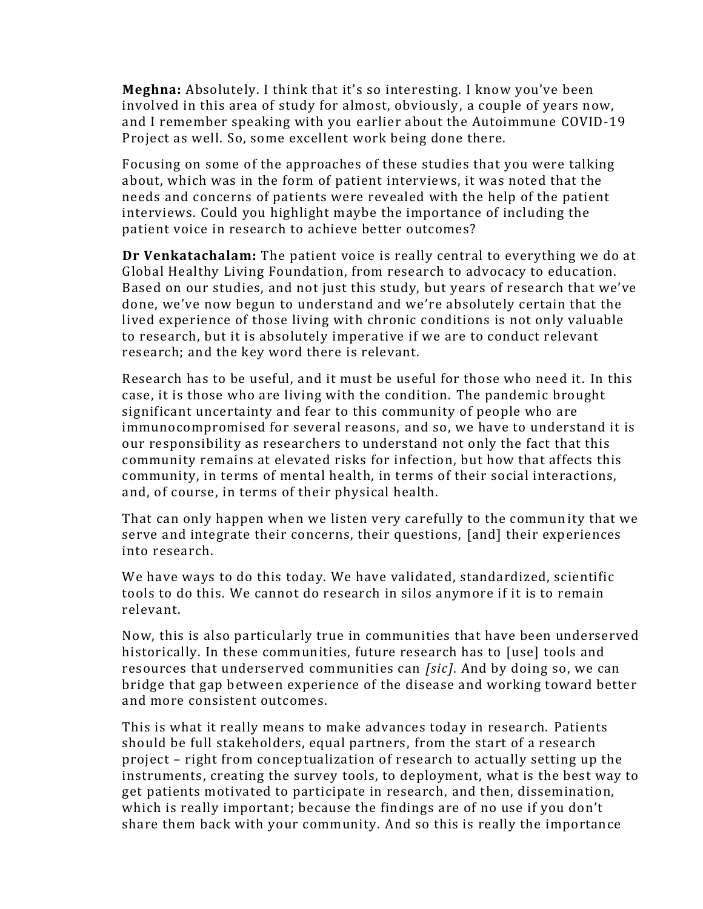**Meghna:** Absolutely. I think that it's so interesting. I know you've been involved in this area of study for almost, obviously, a couple of years now, and I remember speaking with you earlier about the Autoimmune COVID-19 Project as well. So, some excellent work being done there.

Focusing on some of the approaches of these studies that you were talking about, which was in the form of patient interviews, it was noted that the needs and concerns of patients were revealed with the help of the patient interviews. Could you highlight maybe the importance of including the patient voice in research to achieve better outcomes?

**Dr Venkatachalam:** The patient voice is really central to everything we do at Global Healthy Living Foundation, from research to advocacy to education. Based on our studies, and not just this study, but years of research that we've done, we've now begun to understand and we're absolutely certain that the lived experience of those living with chronic conditions is not only valuable to research, but it is absolutely imperative if we are to conduct relevant research; and the key word there is relevant.

Research has to be useful, and it must be useful for those who need it. In this case, it is those who are living with the condition. The pandemic brought significant uncertainty and fear to this community of people who are immunocompromised for several reasons, and so, we have to understand it is our responsibility as researchers to understand not only the fact that this community remains at elevated risks for infection, but how that affects this community, in terms of mental health, in terms of their social interactions, and, of course, in terms of their physical health.

That can only happen when we listen very carefully to the community that we serve and integrate their concerns, their questions, [and] their experiences into research.

We have ways to do this today. We have validated, standardized, scientific tools to do this. We cannot do research in silos anymore if it is to remain relevant.

Now, this is also particularly true in communities that have been underserved historically. In these communities, future research has to [use] tools and resources that underserved communities can *[sic]*. And by doing so, we can bridge that gap between experience of the disease and working toward better and more consistent outcomes.

This is what it really means to make advances today in research. Patients should be full stakeholders, equal partners, from the start of a research project – right from conceptualization of research to actually setting up the instruments, creating the survey tools, to deployment, what is the best way to get patients motivated to participate in research, and then, dissemination, which is really important; because the findings are of no use if you don't share them back with your community. And so this is really the importance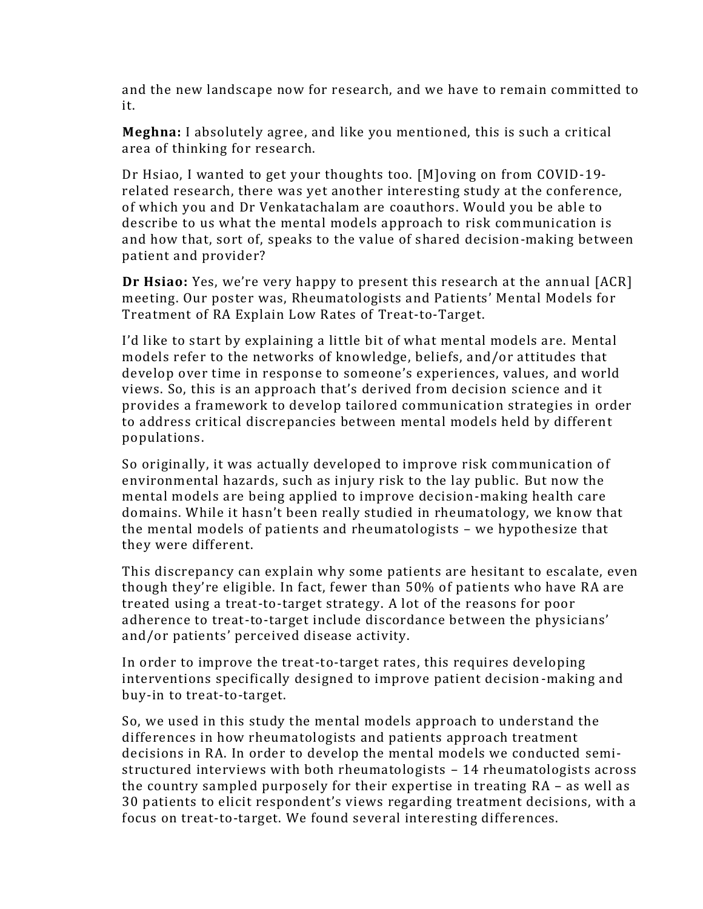and the new landscape now for research, and we have to remain committed to it.

**Meghna:** I absolutely agree, and like you mentioned, this is such a critical area of thinking for research.

Dr Hsiao, I wanted to get your thoughts too. [M]oving on from COVID-19 related research, there was yet another interesting study at the conference, of which you and Dr Venkatachalam are coauthors. Would you be able to describe to us what the mental models approach to risk communication is and how that, sort of, speaks to the value of shared decision-making between patient and provider?

**Dr Hsiao:** Yes, we're very happy to present this research at the annual [ACR] meeting. Our poster was, Rheumatologists and Patients' Mental Models for Treatment of RA Explain Low Rates of Treat-to-Target.

I'd like to start by explaining a little bit of what mental models are. Mental models refer to the networks of knowledge, beliefs, and/or attitudes that develop over time in response to someone's experiences, values, and world views. So, this is an approach that's derived from decision science and it provides a framework to develop tailored communication strategies in order to address critical discrepancies between mental models held by different populations.

So originally, it was actually developed to improve risk communication of environmental hazards, such as injury risk to the lay public. But now the mental models are being applied to improve decision-making health care domains. While it hasn't been really studied in rheumatology, we know that the mental models of patients and rheumatologists – we hypothesize that they were different.

This discrepancy can explain why some patients are hesitant to escalate, even though they're eligible. In fact, fewer than 50% of patients who have RA are treated using a treat-to-target strategy. A lot of the reasons for poor adherence to treat-to-target include discordance between the physicians' and/or patients' perceived disease activity.

In order to improve the treat-to-target rates, this requires developing interventions specifically designed to improve patient decision-making and buy-in to treat-to-target.

So, we used in this study the mental models approach to understand the differences in how rheumatologists and patients approach treatment decisions in RA. In order to develop the mental models we conducted semistructured interviews with both rheumatologists – 14 rheumatologists across the country sampled purposely for their expertise in treating RA – as well as 30 patients to elicit respondent's views regarding treatment decisions, with a focus on treat-to-target. We found several interesting differences.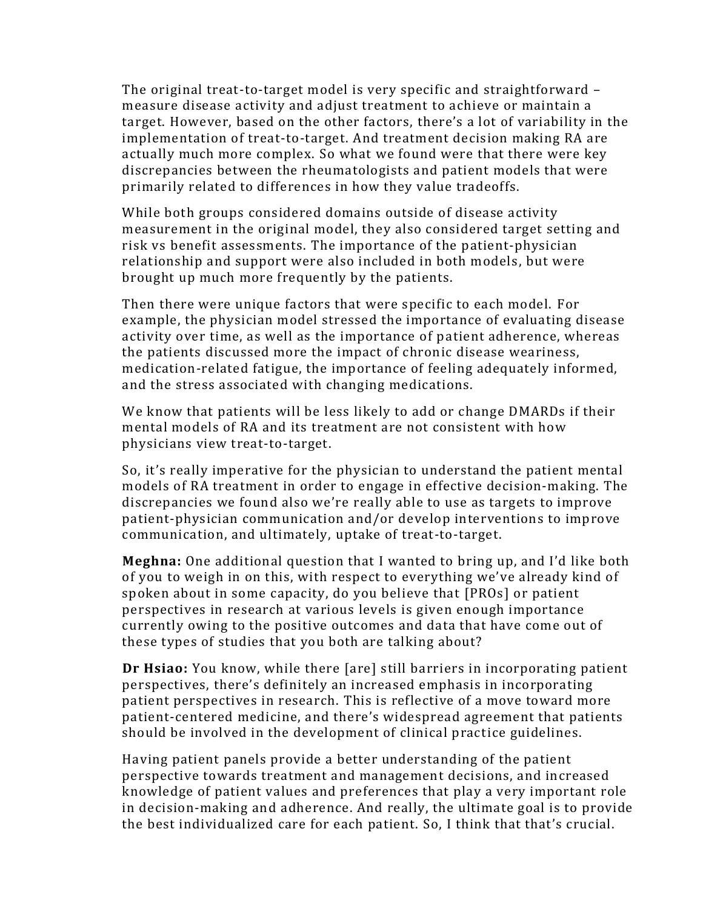The original treat-to-target model is very specific and straightforward – measure disease activity and adjust treatment to achieve or maintain a target. However, based on the other factors, there's a lot of variability in the implementation of treat-to-target. And treatment decision making RA are actually much more complex. So what we found were that there were key discrepancies between the rheumatologists and patient models that were primarily related to differences in how they value tradeoffs.

While both groups considered domains outside of disease activity measurement in the original model, they also considered target setting and risk vs benefit assessments. The importance of the patient-physician relationship and support were also included in both models , but were brought up much more frequently by the patients.

Then there were unique factors that were specific to each model. For example, the physician model stressed the importance of evaluating disease activity over time, as well as the importance of patient adherence, whereas the patients discussed more the impact of chronic disease weariness, medication-related fatigue, the importance of feeling adequately informed, and the stress associated with changing medications.

We know that patients will be less likely to add or change DMARDs if their mental models of RA and its treatment are not consistent with how physicians view treat-to-target.

So, it's really imperative for the physician to understand the patient mental models of RA treatment in order to engage in effective decision-making. The discrepancies we found also we're really able to use as targets to improve patient-physician communication and/or develop interventions to improve communication, and ultimately, uptake of treat-to-target.

**Meghna:** One additional question that I wanted to bring up, and I'd like both of you to weigh in on this, with respect to everything we've already kind of spoken about in some capacity, do you believe that [PROs] or patient perspectives in research at various levels is given enough importance currently owing to the positive outcomes and data that have come out of these types of studies that you both are talking about?

**Dr Hsiao:** You know, while there [are] still barriers in incorporating patient perspectives, there's definitely an increased emphasis in incorporating patient perspectives in research. This is reflective of a move toward more patient-centered medicine, and there's widespread agreement that patients should be involved in the development of clinical practice guidelines.

Having patient panels provide a better understanding of the patient perspective towards treatment and management decisions, and increased knowledge of patient values and preferences that play a very important role in decision-making and adherence. And really, the ultimate goal is to provide the best individualized care for each patient. So, I think that that's crucial.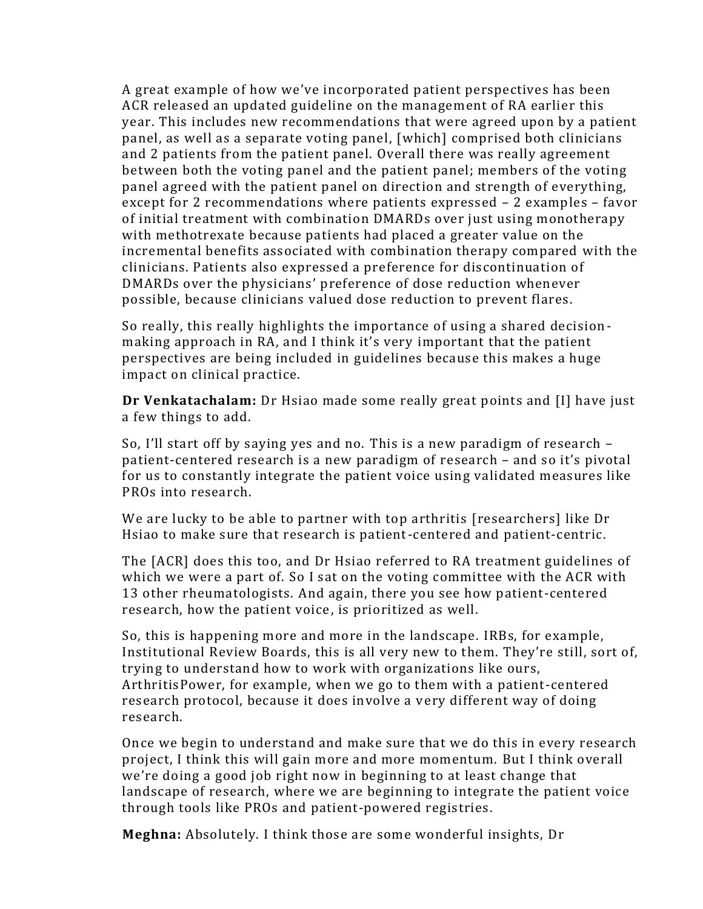A great example of how we've incorporated patient perspectives has been ACR released an updated guideline on the management of RA earlier this year. This includes new recommendations that were agreed upon by a patient panel, as well as a separate voting panel, [which] comprised both clinicians and 2 patients from the patient panel. Overall there was really agreement between both the voting panel and the patient panel; members of the voting panel agreed with the patient panel on direction and strength of everything, except for 2 recommendations where patients expressed – 2 examples – favor of initial treatment with combination DMARDs over just using monotherapy with methotrexate because patients had placed a greater value on the incremental benefits associated with combination therapy compared with the clinicians. Patients also expressed a preference for discontinuation of DMARDs over the physicians' preference of dose reduction whenever possible, because clinicians valued dose reduction to prevent flares.

So really, this really highlights the importance of using a shared decision making approach in RA, and I think it's very important that the patient perspectives are being included in guidelines because this makes a huge impact on clinical practice.

**Dr Venkatachalam:** Dr Hsiao made some really great points and [I] have just a few things to add.

So, I'll start off by saying yes and no. This is a new paradigm of research – patient-centered research is a new paradigm of research – and so it's pivotal for us to constantly integrate the patient voice using validated measures like PROs into research.

We are lucky to be able to partner with top arthritis [researchers] like Dr Hsiao to make sure that research is patient-centered and patient-centric.

The [ACR] does this too, and Dr Hsiao referred to RA treatment guidelines of which we were a part of. So I sat on the voting committee with the ACR with 13 other rheumatologists. And again, there you see how patient-centered research, how the patient voice, is prioritized as well.

So, this is happening more and more in the landscape. IRBs, for example, Institutional Review Boards, this is all very new to them. They're still, sort of, trying to understand how to work with organizations like ours, ArthritisPower, for example, when we go to them with a patient-centered research protocol, because it does involve a very different way of doing research.

Once we begin to understand and make sure that we do this in every research project, I think this will gain more and more momentum. But I think overall we're doing a good job right now in beginning to at least change that landscape of research, where we are beginning to integrate the patient voice through tools like PROs and patient-powered registries.

**Meghna:** Absolutely. I think those are some wonderful insights, Dr